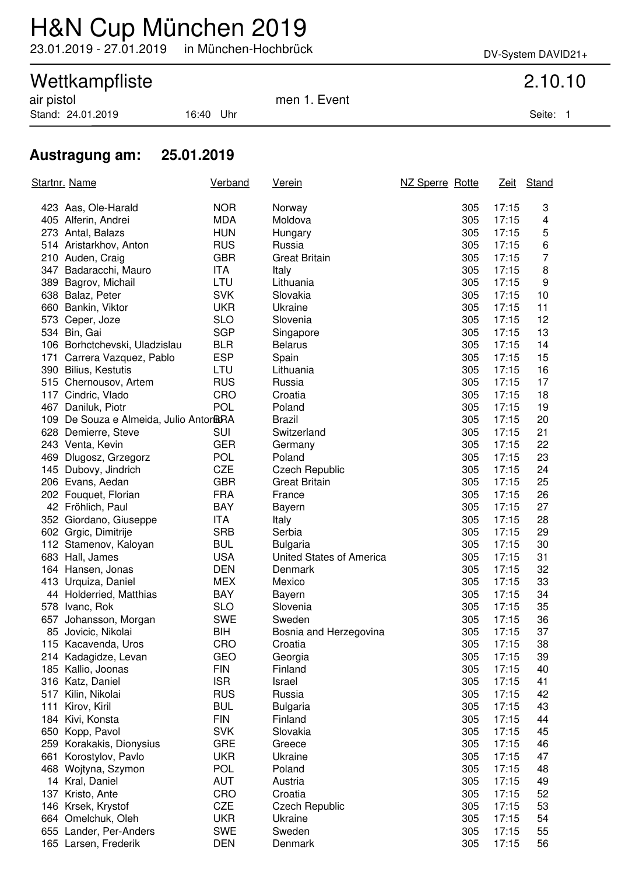# H&N Cup München 2019

23.01.2019 - 27.01.2019 in München-Hochbrück DV-System DAVID21+

## Wettkampfliste 2.10.10

Stand: 24.01.2019 16:40 Uhr Seite: 1

air pistol men 1. Event

### **Austragung am: 25.01.2019**

|     | <u>Startnr. Name</u>                    | <b>Verband</b> | <u>Verein</u>            | NZ Sperre Rotte |     |       | Zeit Stand |
|-----|-----------------------------------------|----------------|--------------------------|-----------------|-----|-------|------------|
|     | 423 Aas, Ole-Harald                     | <b>NOR</b>     | Norway                   |                 | 305 | 17:15 | 3          |
|     | 405 Alferin, Andrei                     | <b>MDA</b>     | Moldova                  |                 | 305 | 17:15 | 4          |
|     | 273 Antal, Balazs                       | <b>HUN</b>     | Hungary                  |                 | 305 | 17:15 | 5          |
|     | 514 Aristarkhov, Anton                  | <b>RUS</b>     | Russia                   |                 | 305 | 17:15 | 6          |
|     | 210 Auden, Craig                        | <b>GBR</b>     | <b>Great Britain</b>     |                 | 305 | 17:15 | 7          |
|     | 347 Badaracchi, Mauro                   | <b>ITA</b>     | Italy                    |                 | 305 | 17:15 | 8          |
|     | 389 Bagrov, Michail                     | LTU            | Lithuania                |                 | 305 | 17:15 | 9          |
|     | 638 Balaz, Peter                        | <b>SVK</b>     | Slovakia                 |                 | 305 | 17:15 | 10         |
|     | 660 Bankin, Viktor                      | <b>UKR</b>     | Ukraine                  |                 | 305 | 17:15 | 11         |
|     | 573 Ceper, Joze                         | <b>SLO</b>     | Slovenia                 |                 | 305 | 17:15 | 12         |
|     | 534 Bin, Gai                            | <b>SGP</b>     | Singapore                |                 | 305 | 17:15 | 13         |
|     | 106 Borhctchevski, Uladzislau           | <b>BLR</b>     | <b>Belarus</b>           |                 | 305 | 17:15 | 14         |
|     | 171 Carrera Vazquez, Pablo              | <b>ESP</b>     | Spain                    |                 | 305 | 17:15 | 15         |
|     | 390 Bilius, Kestutis                    | LTU            | Lithuania                |                 | 305 | 17:15 | 16         |
|     | 515 Chernousov, Artem                   | <b>RUS</b>     | Russia                   |                 | 305 | 17:15 | 17         |
|     | 117 Cindric, Vlado                      | CRO            | Croatia                  |                 | 305 | 17:15 | 18         |
|     | 467 Daniluk, Piotr                      | <b>POL</b>     | Poland                   |                 | 305 | 17:15 | 19         |
|     | 109 De Souza e Almeida, Julio AntorBGRA |                | <b>Brazil</b>            |                 | 305 | 17:15 | 20         |
|     | 628 Demierre, Steve                     | <b>SUI</b>     | Switzerland              |                 | 305 | 17:15 | 21         |
|     | 243 Venta, Kevin                        | <b>GER</b>     | Germany                  |                 | 305 | 17:15 | 22         |
|     | 469 Dlugosz, Grzegorz                   | <b>POL</b>     | Poland                   |                 | 305 | 17:15 | 23         |
|     | 145 Dubovy, Jindrich                    | <b>CZE</b>     | <b>Czech Republic</b>    |                 | 305 | 17:15 | 24         |
|     | 206 Evans, Aedan                        | <b>GBR</b>     | <b>Great Britain</b>     |                 | 305 | 17:15 | 25         |
|     | 202 Fouquet, Florian                    | <b>FRA</b>     | France                   |                 | 305 | 17:15 | 26         |
|     | 42 Fröhlich, Paul                       | <b>BAY</b>     | Bayern                   |                 | 305 | 17:15 | 27         |
|     | 352 Giordano, Giuseppe                  | <b>ITA</b>     | Italy                    |                 | 305 | 17:15 | 28         |
|     | 602 Grgic, Dimitrije                    | <b>SRB</b>     | Serbia                   |                 | 305 | 17:15 | 29         |
|     | 112 Stamenov, Kaloyan                   | <b>BUL</b>     | <b>Bulgaria</b>          |                 | 305 | 17:15 | 30         |
|     | 683 Hall, James                         | <b>USA</b>     | United States of America |                 | 305 | 17:15 | 31         |
|     | 164 Hansen, Jonas                       | <b>DEN</b>     | Denmark                  |                 | 305 | 17:15 | 32         |
|     | 413 Urquiza, Daniel                     | <b>MEX</b>     | Mexico                   |                 | 305 | 17:15 | 33         |
|     | 44 Holderried, Matthias                 | <b>BAY</b>     | Bayern                   |                 | 305 | 17:15 | 34         |
|     | 578 Ivanc, Rok                          | <b>SLO</b>     | Slovenia                 |                 | 305 | 17:15 | 35         |
| 657 | Johansson, Morgan                       | <b>SWE</b>     | Sweden                   |                 | 305 | 17:15 | 36         |
|     | 85 Jovicic, Nikolai                     | BIH            | Bosnia and Herzegovina   |                 | 305 | 17:15 | 37         |
|     | 115 Kacavenda, Uros                     | <b>CRO</b>     | Croatia                  |                 | 305 | 17:15 | 38         |
| 214 | Kadagidze, Levan                        | GEO            | Georgia                  |                 | 305 | 17:15 | 39         |
|     | 185 Kallio, Joonas                      | <b>FIN</b>     | Finland                  |                 | 305 | 17:15 | 40         |
|     | 316 Katz, Daniel                        | <b>ISR</b>     | Israel                   |                 | 305 | 17:15 | 41         |
| 517 | Kilin, Nikolai                          | <b>RUS</b>     | Russia                   |                 | 305 | 17:15 | 42         |
| 111 | Kirov, Kiril                            | <b>BUL</b>     | <b>Bulgaria</b>          |                 | 305 | 17:15 | 43         |
| 184 | Kivi, Konsta                            | <b>FIN</b>     | Finland                  |                 | 305 | 17:15 | 44         |
|     | 650 Kopp, Pavol                         | <b>SVK</b>     | Slovakia                 |                 | 305 | 17:15 | 45         |
|     | 259 Korakakis, Dionysius                | <b>GRE</b>     | Greece                   |                 | 305 | 17:15 | 46         |
| 661 | Korostylov, Pavlo                       | <b>UKR</b>     | Ukraine                  |                 | 305 | 17:15 | 47         |
| 468 | Wojtyna, Szymon                         | <b>POL</b>     | Poland                   |                 | 305 | 17:15 | 48         |
|     | 14 Kral, Daniel                         | <b>AUT</b>     | Austria                  |                 | 305 | 17:15 | 49         |
| 137 | Kristo, Ante                            | CRO            | Croatia                  |                 | 305 | 17:15 | 52         |
|     | 146 Krsek, Krystof                      | <b>CZE</b>     | <b>Czech Republic</b>    |                 | 305 | 17:15 | 53         |
|     | 664 Omelchuk, Oleh                      | <b>UKR</b>     | Ukraine                  |                 | 305 | 17:15 | 54         |
|     | 655 Lander, Per-Anders                  | <b>SWE</b>     | Sweden                   |                 | 305 | 17:15 | 55         |
|     | 165 Larsen, Frederik                    | <b>DEN</b>     | Denmark                  |                 | 305 | 17:15 | 56         |
|     |                                         |                |                          |                 |     |       |            |